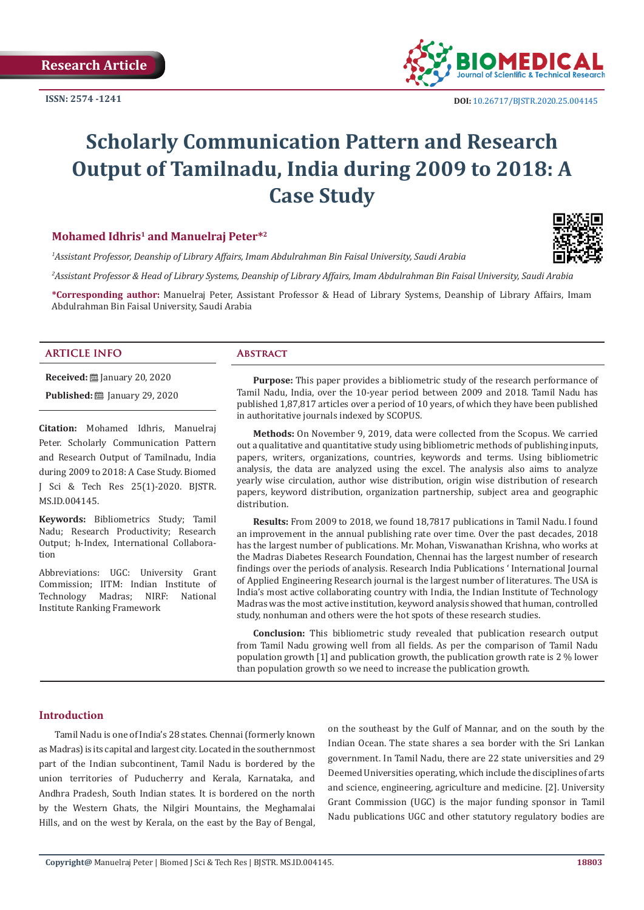**ISSN: 2574 -1241**



# **Scholarly Communication Pattern and Research Output of Tamilnadu, India during 2009 to 2018: A Case Study**

# **Mohamed Idhris1 and Manuelraj Peter\*2**

*1 Assistant Professor, Deanship of Library Affairs, Imam Abdulrahman Bin Faisal University, Saudi Arabia* 

*2 Assistant Professor & Head of Library Systems, Deanship of Library Affairs, Imam Abdulrahman Bin Faisal University, Saudi Arabia*

**\*Corresponding author:** Manuelraj Peter, Assistant Professor & Head of Library Systems, Deanship of Library Affairs, Imam Abdulrahman Bin Faisal University, Saudi Arabia

#### **ARTICLE INFO Abstract**

**Received:** January 20, 2020 **Published:** ■ January 29, 2020

**Citation:** Mohamed Idhris, Manuelraj Peter. Scholarly Communication Pattern and Research Output of Tamilnadu, India during 2009 to 2018: A Case Study. Biomed J Sci & Tech Res 25(1)-2020. BJSTR. MS.ID.004145.

**Keywords:** Bibliometrics Study; Tamil Nadu; Research Productivity; Research Output; h-Index, International Collaboration

Abbreviations: UGC: University Grant Commission; IITM: Indian Institute of<br>Technology Madras: NIRF: National Technology Madras; NIRF: Institute Ranking Framework

**Purpose:** This paper provides a bibliometric study of the research performance of Tamil Nadu, India, over the 10-year period between 2009 and 2018. Tamil Nadu has published 1,87,817 articles over a period of 10 years, of which they have been published in authoritative journals indexed by SCOPUS.

**Methods:** On November 9, 2019, data were collected from the Scopus. We carried out a qualitative and quantitative study using bibliometric methods of publishing inputs, papers, writers, organizations, countries, keywords and terms. Using bibliometric analysis, the data are analyzed using the excel. The analysis also aims to analyze yearly wise circulation, author wise distribution, origin wise distribution of research papers, keyword distribution, organization partnership, subject area and geographic distribution.

**Results:** From 2009 to 2018, we found 18,7817 publications in Tamil Nadu. I found an improvement in the annual publishing rate over time. Over the past decades, 2018 has the largest number of publications. Mr. Mohan, Viswanathan Krishna, who works at the Madras Diabetes Research Foundation, Chennai has the largest number of research findings over the periods of analysis. Research India Publications ' International Journal of Applied Engineering Research journal is the largest number of literatures. The USA is India's most active collaborating country with India, the Indian Institute of Technology Madras was the most active institution, keyword analysis showed that human, controlled study, nonhuman and others were the hot spots of these research studies.

**Conclusion:** This bibliometric study revealed that publication research output from Tamil Nadu growing well from all fields. As per the comparison of Tamil Nadu population growth [1] and publication growth, the publication growth rate is 2 % lower than population growth so we need to increase the publication growth.

#### **Introduction**

Tamil Nadu is one of India's 28 states. Chennai (formerly known as Madras) is its capital and largest city. Located in the southernmost part of the Indian subcontinent, Tamil Nadu is bordered by the union territories of Puducherry and Kerala, Karnataka, and Andhra Pradesh, South Indian states. It is bordered on the north by the Western Ghats, the Nilgiri Mountains, the Meghamalai Hills, and on the west by Kerala, on the east by the Bay of Bengal,

on the southeast by the Gulf of Mannar, and on the south by the Indian Ocean. The state shares a sea border with the Sri Lankan government. In Tamil Nadu, there are 22 state universities and 29 Deemed Universities operating, which include the disciplines of arts and science, engineering, agriculture and medicine. [2]. University Grant Commission (UGC) is the major funding sponsor in Tamil Nadu publications UGC and other statutory regulatory bodies are

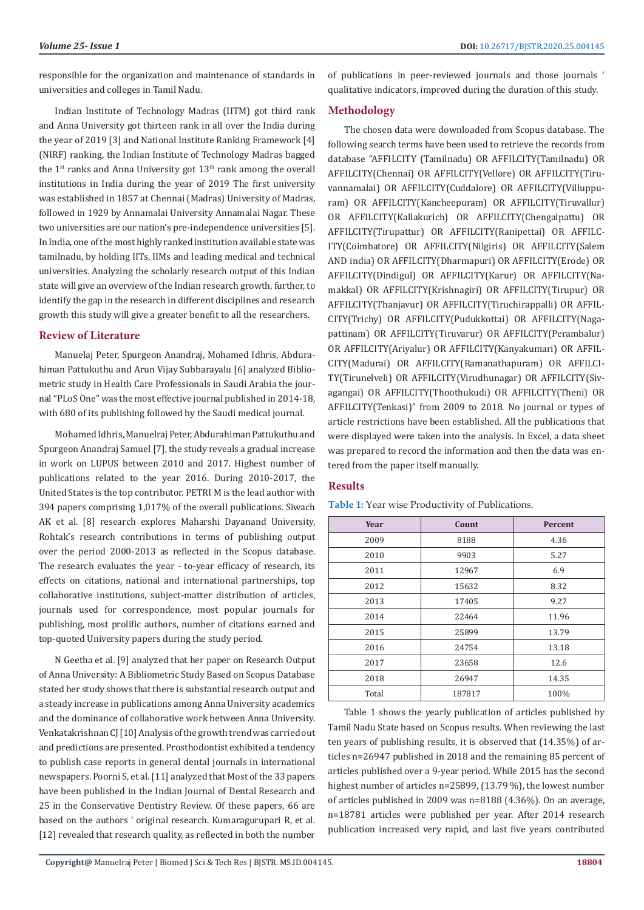responsible for the organization and maintenance of standards in universities and colleges in Tamil Nadu.

Indian Institute of Technology Madras (IITM) got third rank and Anna University got thirteen rank in all over the India during the year of 2019 [3] and National Institute Ranking Framework [4] (NIRF) ranking, the Indian Institute of Technology Madras bagged the  $1<sup>st</sup>$  ranks and Anna University got  $13<sup>th</sup>$  rank among the overall institutions in India during the year of 2019 The first university was established in 1857 at Chennai (Madras) University of Madras, followed in 1929 by Annamalai University Annamalai Nagar. These two universities are our nation's pre-independence universities [5]. In India, one of the most highly ranked institution available state was tamilnadu, by holding IITs, IIMs and leading medical and technical universities. Analyzing the scholarly research output of this Indian state will give an overview of the Indian research growth, further, to identify the gap in the research in different disciplines and research growth this study will give a greater benefit to all the researchers.

#### **Review of Literature**

Manuelaj Peter, Spurgeon Anandraj, Mohamed Idhris, Abdurahiman Pattukuthu and Arun Vijay Subbarayalu [6] analyzed Bibliometric study in Health Care Professionals in Saudi Arabia the journal "PLoS One" was the most effective journal published in 2014-18, with 680 of its publishing followed by the Saudi medical journal.

Mohamed Idhris, Manuelraj Peter, Abdurahiman Pattukuthu and Spurgeon Anandraj Samuel [7], the study reveals a gradual increase in work on LUPUS between 2010 and 2017. Highest number of publications related to the year 2016. During 2010-2017, the United States is the top contributor. PETRI M is the lead author with 394 papers comprising 1,017% of the overall publications. Siwach AK et al. [8] research explores Maharshi Dayanand University, Rohtak's research contributions in terms of publishing output over the period 2000-2013 as reflected in the Scopus database. The research evaluates the year - to-year efficacy of research, its effects on citations, national and international partnerships, top collaborative institutions, subject-matter distribution of articles, journals used for correspondence, most popular journals for publishing, most prolific authors, number of citations earned and top-quoted University papers during the study period.

N Geetha et al. [9] analyzed that her paper on Research Output of Anna University: A Bibliometric Study Based on Scopus Database stated her study shows that there is substantial research output and a steady increase in publications among Anna University academics and the dominance of collaborative work between Anna University. Venkatakrishnan CJ [10] Analysis of the growth trend was carried out and predictions are presented. Prosthodontist exhibited a tendency to publish case reports in general dental journals in international newspapers. Poorni S, et al. [11] analyzed that Most of the 33 papers have been published in the Indian Journal of Dental Research and 25 in the Conservative Dentistry Review. Of these papers, 66 are based on the authors ' original research. Kumaragurupari R, et al. [12] revealed that research quality, as reflected in both the number of publications in peer-reviewed journals and those journals ' qualitative indicators, improved during the duration of this study.

### **Methodology**

The chosen data were downloaded from Scopus database. The following search terms have been used to retrieve the records from database "AFFILCITY (Tamilnadu) OR AFFILCITY(Tamilnadu) OR AFFILCITY(Chennai) OR AFFILCITY(Vellore) OR AFFILCITY(Tiruvannamalai) OR AFFILCITY(Cuddalore) OR AFFILCITY(Villuppuram) OR AFFILCITY(Kancheepuram) OR AFFILCITY(Tiruvallur) OR AFFILCITY(Kallakurich) OR AFFILCITY(Chengalpattu) OR AFFILCITY(Tirupattur) OR AFFILCITY(Ranipettai) OR AFFILC-ITY(Coimbatore) OR AFFILCITY(Nilgiris) OR AFFILCITY(Salem AND india) OR AFFILCITY(Dharmapuri) OR AFFILCITY(Erode) OR AFFILCITY(Dindigul) OR AFFILCITY(Karur) OR AFFILCITY(Namakkal) OR AFFILCITY(Krishnagiri) OR AFFILCITY(Tirupur) OR AFFILCITY(Thanjavur) OR AFFILCITY(Tiruchirappalli) OR AFFIL-CITY(Trichy) OR AFFILCITY(Pudukkottai) OR AFFILCITY(Nagapattinam) OR AFFILCITY(Tiruvarur) OR AFFILCITY(Perambalur) OR AFFILCITY(Ariyalur) OR AFFILCITY(Kanyakumari) OR AFFIL-CITY(Madurai) OR AFFILCITY(Ramanathapuram) OR AFFILCI-TY(Tirunelveli) OR AFFILCITY(Virudhunagar) OR AFFILCITY(Sivagangai) OR AFFILCITY(Thoothukudi) OR AFFILCITY(Theni) OR AFFILCITY(Tenkasi)" from 2009 to 2018. No journal or types of article restrictions have been established. All the publications that were displayed were taken into the analysis. In Excel, a data sheet was prepared to record the information and then the data was entered from the paper itself manually.

#### **Results**

| Year  | Count  | <b>Percent</b> |
|-------|--------|----------------|
| 2009  | 8188   | 4.36           |
| 2010  | 9903   | 5.27           |
| 2011  | 12967  | 6.9            |
| 2012  | 15632  | 8.32           |
| 2013  | 17405  | 9.27           |
| 2014  | 22464  | 11.96          |
| 2015  | 25899  | 13.79          |
| 2016  | 24754  | 13.18          |
| 2017  | 23658  | 12.6           |
| 2018  | 26947  | 14.35          |
| Total | 187817 | 100%           |

**Table 1:** Year wise Productivity of Publications.

Table 1 shows the yearly publication of articles published by Tamil Nadu State based on Scopus results. When reviewing the last ten years of publishing results, it is observed that (14.35%) of articles n=26947 published in 2018 and the remaining 85 percent of articles published over a 9-year period. While 2015 has the second highest number of articles n=25899, (13.79 %), the lowest number of articles published in 2009 was n=8188 (4.36%). On an average, n=18781 articles were published per year. After 2014 research publication increased very rapid, and last five years contributed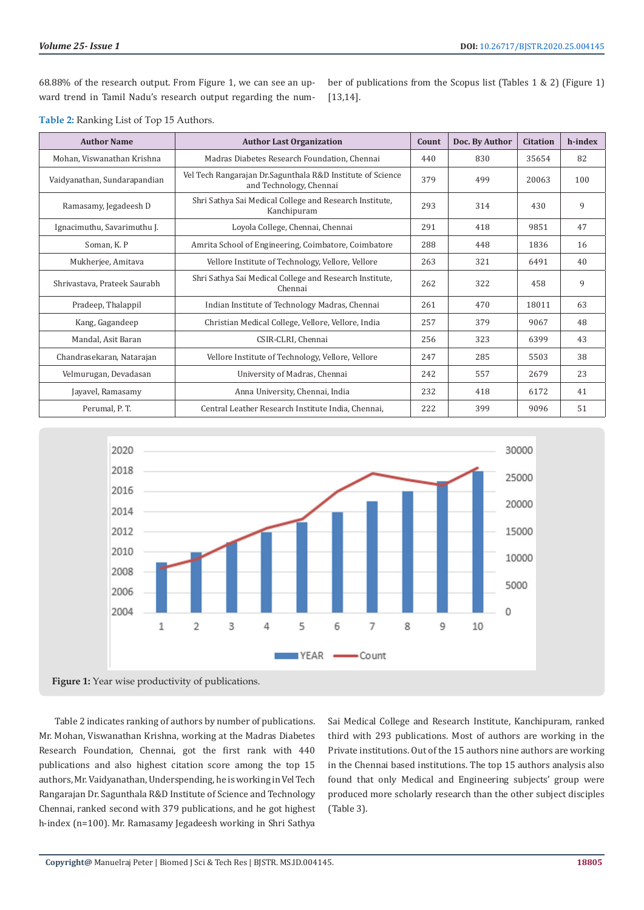68.88% of the research output. From Figure 1, we can see an upward trend in Tamil Nadu's research output regarding the number of publications from the Scopus list (Tables 1 & 2) (Figure 1) [13,14].

| <b>Author Name</b>                                                                                 | <b>Author Last Organization</b>                                                        | Count | Doc. By Author | <b>Citation</b> | h-index |
|----------------------------------------------------------------------------------------------------|----------------------------------------------------------------------------------------|-------|----------------|-----------------|---------|
| Mohan, Viswanathan Krishna                                                                         | Madras Diabetes Research Foundation, Chennai                                           | 440   | 830            | 35654           | 82      |
| Vaidyanathan, Sundarapandian                                                                       | Vel Tech Rangarajan Dr. Sagunthala R&D Institute of Science<br>and Technology, Chennai | 379   | 499            | 20063           | 100     |
| Ramasamy, Jegadeesh D                                                                              | Shri Sathya Sai Medical College and Research Institute,<br>Kanchipuram                 |       | 314            | 430             | 9       |
| Ignacimuthu, Savarimuthu J.                                                                        | Loyola College, Chennai, Chennai                                                       | 291   | 418            | 9851            | 47      |
| Soman, K. P                                                                                        | Amrita School of Engineering, Coimbatore, Coimbatore                                   | 288   | 448            | 1836            | 16      |
| Mukherjee, Amitava                                                                                 | Vellore Institute of Technology, Vellore, Vellore                                      |       | 321            | 6491            | 40      |
| Shri Sathya Sai Medical College and Research Institute,<br>Shrivastava, Prateek Saurabh<br>Chennai |                                                                                        | 262   | 322            | 458             | 9       |
| Pradeep, Thalappil                                                                                 | Indian Institute of Technology Madras, Chennai                                         |       | 470            | 18011           | 63      |
| Kang, Gagandeep                                                                                    | Christian Medical College, Vellore, Vellore, India                                     |       | 379            | 9067            | 48      |
| Mandal, Asit Baran                                                                                 | CSIR-CLRI, Chennai                                                                     |       | 323            | 6399            | 43      |
| Chandrasekaran, Natarajan<br>Vellore Institute of Technology, Vellore, Vellore                     |                                                                                        | 247   | 285            | 5503            | 38      |
| Velmurugan, Devadasan                                                                              | University of Madras, Chennai                                                          |       | 557            | 2679            | 23      |
| Jayavel, Ramasamy                                                                                  | Anna University, Chennai, India                                                        |       | 418            | 6172            | 41      |
| Perumal, P. T.                                                                                     | Central Leather Research Institute India, Chennai,                                     | 222   | 399            | 9096            | 51      |

**Table 2:** Ranking List of Top 15 Authors.





Table 2 indicates ranking of authors by number of publications. Mr. Mohan, Viswanathan Krishna, working at the Madras Diabetes Research Foundation, Chennai, got the first rank with 440 publications and also highest citation score among the top 15 authors, Mr. Vaidyanathan, Underspending, he is working in Vel Tech Rangarajan Dr. Sagunthala R&D Institute of Science and Technology Chennai, ranked second with 379 publications, and he got highest h-index (n=100). Mr. Ramasamy Jegadeesh working in Shri Sathya

Sai Medical College and Research Institute, Kanchipuram, ranked third with 293 publications. Most of authors are working in the Private institutions. Out of the 15 authors nine authors are working in the Chennai based institutions. The top 15 authors analysis also found that only Medical and Engineering subjects' group were produced more scholarly research than the other subject disciples (Table 3).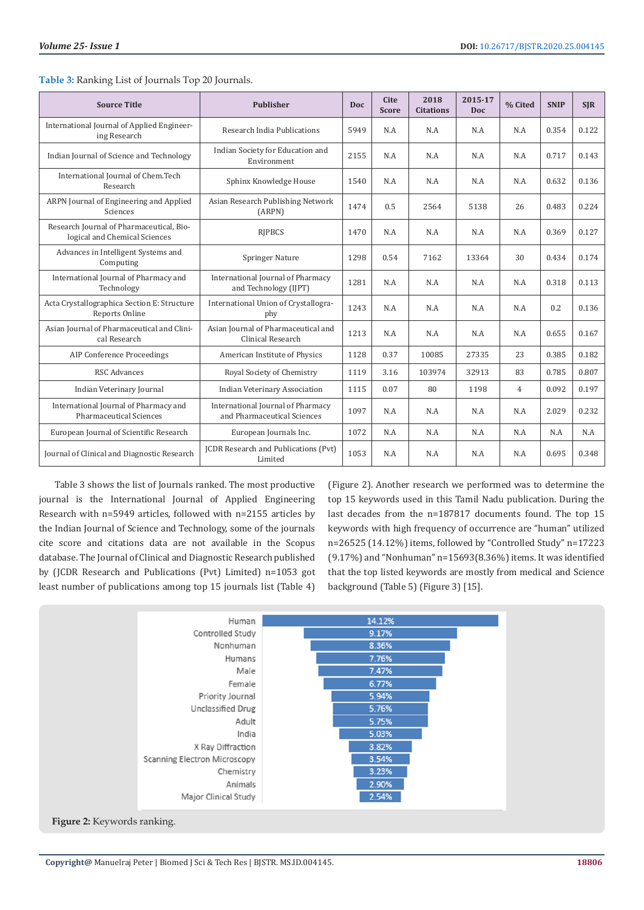| <b>Source Title</b>                                                       | <b>Publisher</b>                                                 |      | <b>Cite</b><br><b>Score</b> | 2018<br><b>Citations</b> | 2015-17<br><b>Doc</b> | % Cited        | <b>SNIP</b> | <b>SIR</b> |
|---------------------------------------------------------------------------|------------------------------------------------------------------|------|-----------------------------|--------------------------|-----------------------|----------------|-------------|------------|
| International Journal of Applied Engineer-<br>ing Research                | Research India Publications                                      | 5949 | N.A                         | N.A                      | N.A                   | N.A            | 0.354       | 0.122      |
| Indian Journal of Science and Technology                                  | Indian Society for Education and<br>Environment                  | 2155 | N.A                         | N.A                      | N.A                   | N.A            | 0.717       | 0.143      |
| International Journal of Chem.Tech<br>Research                            | Sphinx Knowledge House                                           | 1540 | N.A                         | N.A                      | N.A                   | N.A            | 0.632       | 0.136      |
| ARPN Journal of Engineering and Applied<br>Sciences                       | Asian Research Publishing Network<br>(ARPN)                      | 1474 | 0.5                         | 2564                     | 5138                  | 26             | 0.483       | 0.224      |
| Research Journal of Pharmaceutical, Bio-<br>logical and Chemical Sciences | <b>RIPBCS</b>                                                    |      | N.A                         | N.A                      | N.A                   | N.A            | 0.369       | 0.127      |
| Advances in Intelligent Systems and<br>Computing                          | <b>Springer Nature</b>                                           | 1298 | 0.54                        | 7162                     | 13364                 | 30             | 0.434       | 0.174      |
| International Journal of Pharmacy and<br>Technology                       | International Journal of Pharmacy<br>and Technology (IJPT)       |      | N.A                         | N.A                      | N.A                   | N.A            | 0.318       | 0.113      |
| Acta Crystallographica Section E: Structure<br>Reports Online             | International Union of Crystallogra-<br>phy                      |      | N.A                         | N.A                      | N.A                   | N.A            | 0.2         | 0.136      |
| Asian Journal of Pharmaceutical and Clini-<br>cal Research                | Asian Journal of Pharmaceutical and<br>Clinical Research         |      | N.A                         | N.A                      | N.A                   | N.A            | 0.655       | 0.167      |
| <b>AIP Conference Proceedings</b>                                         | American Institute of Physics                                    | 1128 | 0.37                        | 10085                    | 27335                 | 23             | 0.385       | 0.182      |
| <b>RSC Advances</b>                                                       | Royal Society of Chemistry                                       | 1119 | 3.16                        | 103974                   | 32913                 | 83             | 0.785       | 0.807      |
| Indian Veterinary Journal<br><b>Indian Veterinary Association</b>         |                                                                  | 1115 | 0.07                        | 80                       | 1198                  | $\overline{4}$ | 0.092       | 0.197      |
| International Journal of Pharmacy and<br><b>Pharmaceutical Sciences</b>   | International Journal of Pharmacy<br>and Pharmaceutical Sciences |      | N.A                         | N.A                      | N.A                   | N.A            | 2.029       | 0.232      |
| European Journal of Scientific Research                                   | European Journals Inc.                                           | 1072 | N.A                         | N.A                      | N.A                   | N.A            | N.A         | N.A        |
| Journal of Clinical and Diagnostic Research                               | JCDR Research and Publications (Pvt)<br>Limited                  | 1053 | N.A                         | N.A                      | N.A                   | N.A            | 0.695       | 0.348      |

| Table 3: Ranking List of Journals Top 20 Journals. |  |  |
|----------------------------------------------------|--|--|
|----------------------------------------------------|--|--|

Table 3 shows the list of Journals ranked. The most productive journal is the International Journal of Applied Engineering Research with n=5949 articles, followed with n=2155 articles by the Indian Journal of Science and Technology, some of the journals cite score and citations data are not available in the Scopus database. The Journal of Clinical and Diagnostic Research published by (JCDR Research and Publications (Pvt) Limited) n=1053 got least number of publications among top 15 journals list (Table 4)

(Figure 2). Another research we performed was to determine the top 15 keywords used in this Tamil Nadu publication. During the last decades from the n=187817 documents found. The top 15 keywords with high frequency of occurrence are "human" utilized n=26525 (14.12%) items, followed by "Controlled Study" n=17223 (9.17%) and "Nonhuman" n=15693(8.36%) items. It was identified that the top listed keywords are mostly from medical and Science background (Table 5) (Figure 3) [15].

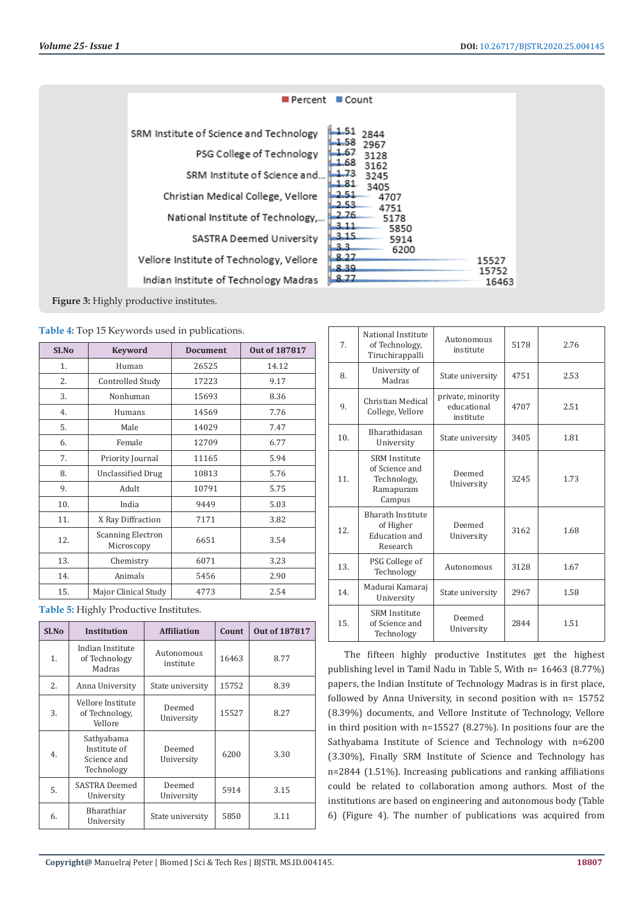| ■ Percent                                | ■ Count                              |                |
|------------------------------------------|--------------------------------------|----------------|
| SRM Institute of Science and Technology  | 2844                                 |                |
| PSG College of Technology                | 1.58<br>2967<br>1.67<br>3128         |                |
| SRM Institute of Science and             | 1.68<br>3162<br>1.73<br>3245         |                |
| Christian Medical College, Vellore       | 1.81<br>3405<br>2.51<br>4707<br>2.53 |                |
| National Institute of Technology,        | 4751<br>2.76<br>5178<br>-3.11        |                |
| SASTRA Deemed University                 | 5850<br>3.15<br>5914<br>3.3<br>6200  |                |
| Vellore Institute of Technology, Vellore | 8.27<br>8.39                         | 15527<br>15752 |
| Indian Institute of Technology Madras    | 8.77                                 | 16463          |

**Figure 3:** Highly productive institutes.

**Table 4:** Top 15 Keywords used in publications.

| SI.No | <b>Keyword</b>                         | <b>Document</b> | Out of 187817 |
|-------|----------------------------------------|-----------------|---------------|
| 1.    | Human                                  | 26525           | 14.12         |
| 2.    | Controlled Study                       | 17223           | 9.17          |
| 3.    | Nonhuman                               | 15693           | 8.36          |
| 4.    | Humans                                 | 14569           | 7.76          |
| 5.    | Male                                   | 14029           | 7.47          |
| 6.    | Female                                 | 12709           | 6.77          |
| 7.    | Priority Journal                       | 11165           | 5.94          |
| 8.    | <b>Unclassified Drug</b>               | 10813           | 5.76          |
| 9.    | Adult                                  | 10791           | 5.75          |
| 10.   | India                                  | 9449            | 5.03          |
| 11.   | X Ray Diffraction                      | 7171            | 3.82          |
| 12.   | <b>Scanning Electron</b><br>Microscopy | 6651            | 3.54          |
| 13.   | Chemistry                              | 6071            | 3.23          |
| 14.   | Animals                                | 5456            | 2.90          |
| 15.   | Major Clinical Study                   | 4773            | 2.54          |

**Table 5:** Highly Productive Institutes.

| Sl.No | <b>Institution</b>                                      | <b>Affiliation</b>      | <b>Count</b> | <b>Out of 187817</b> |
|-------|---------------------------------------------------------|-------------------------|--------------|----------------------|
| 1.    | Indian Institute<br>of Technology<br>Madras             | Autonomous<br>institute | 16463        | 8.77                 |
| 2.    | Anna University                                         | State university        | 15752        | 8.39                 |
| 3.    | Vellore Institute<br>of Technology,<br>Vellore          | Deemed<br>University    | 15527        | 8.27                 |
| 4.    | Sathyabama<br>Institute of<br>Science and<br>Technology | Deemed<br>University    | 6200         | 3.30                 |
| 5.    | SASTRA Deemed<br>University                             | Deemed<br>University    | 5914         | 3.15                 |
| 6.    | Bharathiar<br>University                                | State university        | 5850         | 3.11                 |

| 7 <sub>1</sub> | National Institute<br>of Technology,<br>Tiruchirappalli                      | Autonomous<br>institute                       | 5178 | 2.76 |
|----------------|------------------------------------------------------------------------------|-----------------------------------------------|------|------|
| 8.             | University of<br>Madras                                                      | State university                              | 4751 | 2.53 |
| 9.             | Christian Medical<br>College, Vellore                                        | private, minority<br>educational<br>institute | 4707 | 2.51 |
| 10.            | Bharathidasan<br>University                                                  | State university                              | 3405 | 1.81 |
| 11.            | <b>SRM</b> Institute<br>of Science and<br>Technology,<br>Ramapuram<br>Campus | Deemed<br>University                          | 3245 | 1.73 |
| 12.            | <b>Bharath Institute</b><br>of Higher<br>Education and<br>Research           | Deemed<br>University                          | 3162 | 1.68 |
| 13.            | PSG College of<br>Technology                                                 | Autonomous                                    | 3128 | 1.67 |
| 14.            | Madurai Kamaraj<br>University                                                | State university                              | 2967 | 1.58 |
| 15.            | <b>SRM</b> Institute<br>of Science and<br>Technology                         | Deemed<br>University                          | 2844 | 1.51 |

The fifteen highly productive Institutes get the highest publishing level in Tamil Nadu in Table 5, With n= 16463 (8.77%) papers, the Indian Institute of Technology Madras is in first place, followed by Anna University, in second position with n= 15752 (8.39%) documents, and Vellore Institute of Technology, Vellore in third position with n=15527 (8.27%). In positions four are the Sathyabama Institute of Science and Technology with n=6200 (3.30%), Finally SRM Institute of Science and Technology has n=2844 (1.51%). Increasing publications and ranking affiliations could be related to collaboration among authors. Most of the institutions are based on engineering and autonomous body (Table 6) (Figure 4). The number of publications was acquired from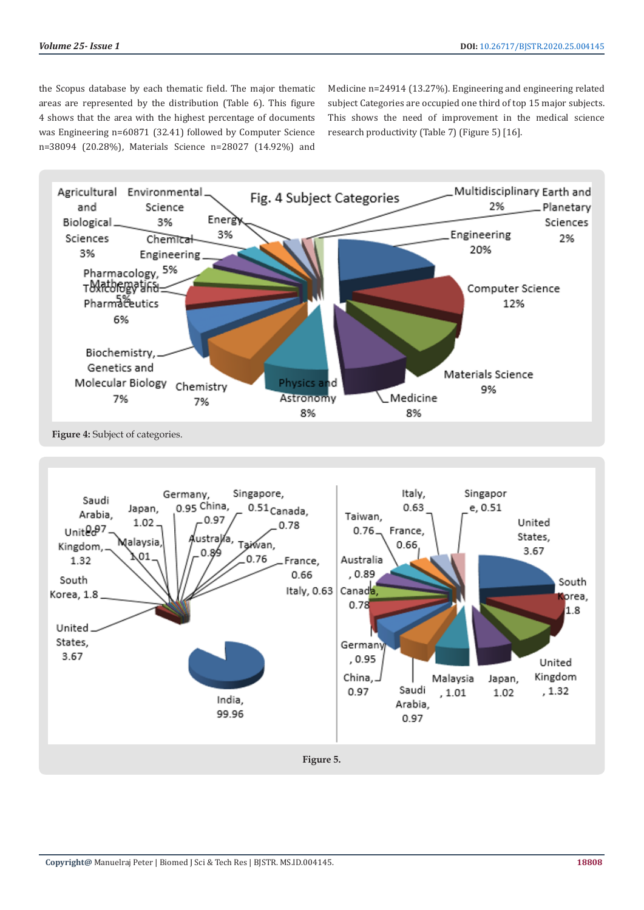the Scopus database by each thematic field. The major thematic areas are represented by the distribution (Table 6). This figure 4 shows that the area with the highest percentage of documents was Engineering n=60871 (32.41) followed by Computer Science n=38094 (20.28%), Materials Science n=28027 (14.92%) and

Medicine n=24914 (13.27%). Engineering and engineering related subject Categories are occupied one third of top 15 major subjects. This shows the need of improvement in the medical science research productivity (Table 7) (Figure 5) [16].

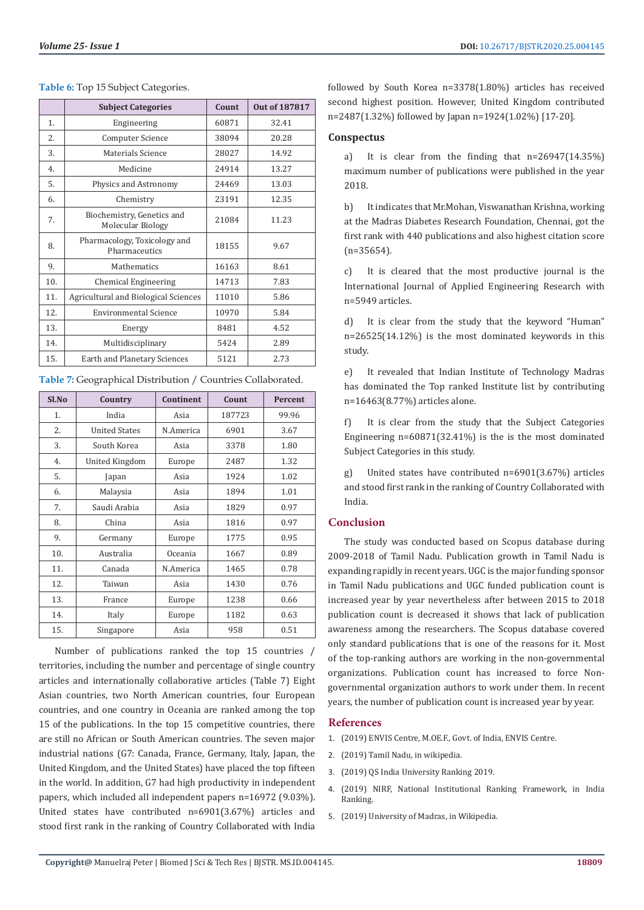|     | <b>Subject Categories</b>                       | Count | <b>Out of 187817</b> |
|-----|-------------------------------------------------|-------|----------------------|
| 1.  | Engineering                                     | 60871 | 32.41                |
| 2.  | Computer Science                                | 38094 | 20.28                |
| 3.  | Materials Science                               | 28027 | 14.92                |
| 4.  | Medicine                                        | 24914 | 13.27                |
| 5.  | Physics and Astronomy                           | 24469 | 13.03                |
| 6.  | Chemistry                                       | 23191 | 12.35                |
| 7.  | Biochemistry, Genetics and<br>Molecular Biology | 21084 | 11.23                |
| 8.  | Pharmacology, Toxicology and<br>Pharmaceutics   | 18155 | 9.67                 |
| 9.  | Mathematics                                     | 16163 | 8.61                 |
| 10. | Chemical Engineering                            | 14713 | 7.83                 |
| 11. | Agricultural and Biological Sciences            | 11010 | 5.86                 |
| 12. | <b>Environmental Science</b>                    | 10970 | 5.84                 |
| 13. | Energy                                          | 8481  | 4.52                 |
| 14. | Multidisciplinary                               | 5424  | 2.89                 |
| 15. | Earth and Planetary Sciences                    | 5121  | 2.73                 |

**Table 6:** Top 15 Subject Categories.

| $S1$ . No | Country              | Continent | Count  | Percent |
|-----------|----------------------|-----------|--------|---------|
| 1.        | India                | Asia      | 187723 | 99.96   |
| 2.        | <b>United States</b> | N.America | 6901   | 3.67    |
| 3.        | South Korea          | Asia      | 3378   | 1.80    |
| 4.        | United Kingdom       | Europe    | 2487   | 1.32    |
| 5.        | Japan                | Asia      | 1924   | 1.02    |
| 6.        | Malaysia             | Asia      | 1894   | 1.01    |
| 7.        | Saudi Arabia         | Asia      | 1829   | 0.97    |
| 8.        | China                | Asia      | 1816   | 0.97    |
| 9.        | Germany              | Europe    | 1775   | 0.95    |
| 10.       | Australia            | Oceania   | 1667   | 0.89    |
| 11.       | Canada               | N.America | 1465   | 0.78    |
| 12.       | Taiwan               | Asia      | 1430   | 0.76    |
| 13.       | France               | Europe    | 1238   | 0.66    |
| 14.       | Italy                | Europe    | 1182   | 0.63    |
| 15.       | Singapore            | Asia      | 958    | 0.51    |

**Table 7:** Geographical Distribution / Countries Collaborated.

Number of publications ranked the top 15 countries / territories, including the number and percentage of single country articles and internationally collaborative articles (Table 7) Eight Asian countries, two North American countries, four European countries, and one country in Oceania are ranked among the top 15 of the publications. In the top 15 competitive countries, there are still no African or South American countries. The seven major industrial nations (G7: Canada, France, Germany, Italy, Japan, the United Kingdom, and the United States) have placed the top fifteen in the world. In addition, G7 had high productivity in independent papers, which included all independent papers n=16972 (9.03%). United states have contributed n=6901(3.67%) articles and stood first rank in the ranking of Country Collaborated with India

followed by South Korea n=3378(1.80%) articles has received second highest position. However, United Kingdom contributed n=2487(1.32%) followed by Japan n=1924(1.02%) [17-20].

#### **Conspectus**

a) It is clear from the finding that n=26947(14.35%) maximum number of publications were published in the year 2018.

b) It indicates that Mr.Mohan, Viswanathan Krishna, working at the Madras Diabetes Research Foundation, Chennai, got the first rank with 440 publications and also highest citation score (n=35654).

c) It is cleared that the most productive journal is the International Journal of Applied Engineering Research with n=5949 articles.

It is clear from the study that the keyword "Human" n=26525(14.12%) is the most dominated keywords in this study.

e) It revealed that Indian Institute of Technology Madras has dominated the Top ranked Institute list by contributing n=16463(8.77%) articles alone.

f) It is clear from the study that the Subject Categories Engineering  $n=60871(32.41\%)$  is the is the most dominated Subject Categories in this study.

United states have contributed n=6901(3.67%) articles and stood first rank in the ranking of Country Collaborated with India.

## **Conclusion**

The study was conducted based on Scopus database during 2009-2018 of Tamil Nadu. Publication growth in Tamil Nadu is expanding rapidly in recent years. UGC is the major funding sponsor in Tamil Nadu publications and UGC funded publication count is increased year by year nevertheless after between 2015 to 2018 publication count is decreased it shows that lack of publication awareness among the researchers. The Scopus database covered only standard publications that is one of the reasons for it. Most of the top-ranking authors are working in the non-governmental organizations. Publication count has increased to force Nongovernmental organization authors to work under them. In recent years, the number of publication count is increased year by year.

#### **References**

- 1. [\(2019\) ENVIS Centre, M.OE.F., Govt. of India, ENVIS Centre.](http://tnenvis.nic.in/)
- 2. [\(2019\) Tamil Nadu, in wikipedia.](https://en.wikipedia.org/wiki/Tamil_Nadu)
- 3. [\(2019\) QS India University Ranking 2019.](https://www.topuniversities.com/university-rankings/rankings-by-location/india/2019)
- 4. [\(2019\) NIRF, National Institutional Ranking Framework, in India](https://www.nirfindia.org/2019/Ranking2019.html) [Ranking.](https://www.nirfindia.org/2019/Ranking2019.html)
- 5. [\(2019\) University of Madras, in Wikipedia.](https://en.wikipedia.org/wiki/University_of_Madras)